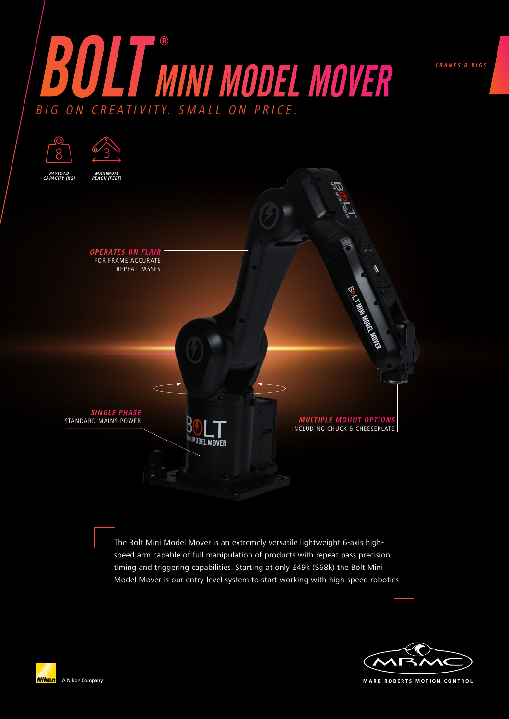



The Bolt Mini Model Mover is an extremely versatile lightweight 6-axis highspeed arm capable of full manipulation of products with repeat pass precision, timing and triggering capabilities. Starting at only £49k (\$68k) the Bolt Mini Model Mover is our entry-level system to start working with high-speed robotics.



**CRANES & RIGS**

**MARK ROBERTS MOTION CONTROL**